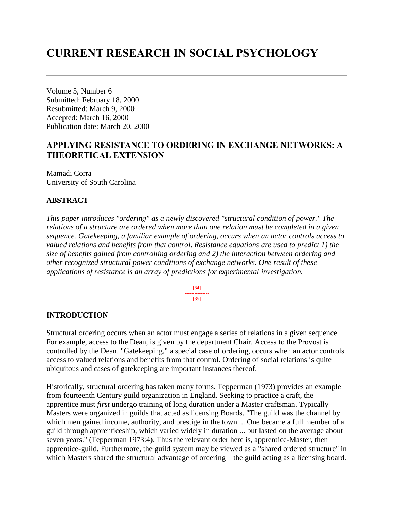# **CURRENT RESEARCH IN SOCIAL PSYCHOLOGY**

Volume 5, Number 6 Submitted: February 18, 2000 Resubmitted: March 9, 2000 Accepted: March 16, 2000 Publication date: March 20, 2000

# **APPLYING RESISTANCE TO ORDERING IN EXCHANGE NETWORKS: A THEORETICAL EXTENSION**

Mamadi Corra University of South Carolina

## **ABSTRACT**

*This paper introduces "ordering" as a newly discovered "structural condition of power." The relations of a structure are ordered when more than one relation must be completed in a given sequence. Gatekeeping, a familiar example of ordering, occurs when an actor controls access to valued relations and benefits from that control. Resistance equations are used to predict 1) the size of benefits gained from controlling ordering and 2) the interaction between ordering and other recognized structural power conditions of exchange networks. One result of these applications of resistance is an array of predictions for experimental investigation.*

> [84] --------------- [85]

#### **INTRODUCTION**

Structural ordering occurs when an actor must engage a series of relations in a given sequence. For example, access to the Dean, is given by the department Chair. Access to the Provost is controlled by the Dean. "Gatekeeping," a special case of ordering, occurs when an actor controls access to valued relations and benefits from that control. Ordering of social relations is quite ubiquitous and cases of gatekeeping are important instances thereof.

Historically, structural ordering has taken many forms. Tepperman (1973) provides an example from fourteenth Century guild organization in England. Seeking to practice a craft, the apprentice must *first* undergo training of long duration under a Master craftsman. Typically Masters were organized in guilds that acted as licensing Boards. "The guild was the channel by which men gained income, authority, and prestige in the town ... One became a full member of a guild through apprenticeship, which varied widely in duration ... but lasted on the average about seven years." (Tepperman 1973:4). Thus the relevant order here is, apprentice-Master, then apprentice-guild. Furthermore, the guild system may be viewed as a "shared ordered structure" in which Masters shared the structural advantage of ordering – the guild acting as a licensing board.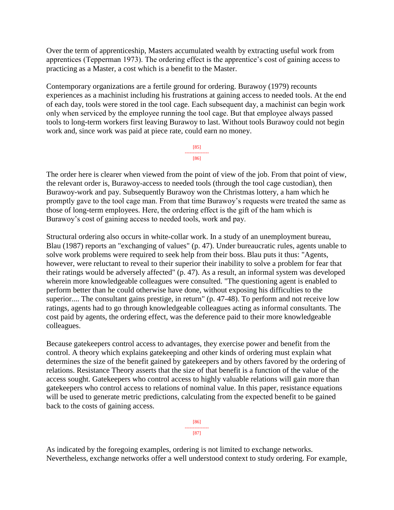Over the term of apprenticeship, Masters accumulated wealth by extracting useful work from apprentices (Tepperman 1973). The ordering effect is the apprentice's cost of gaining access to practicing as a Master, a cost which is a benefit to the Master.

Contemporary organizations are a fertile ground for ordering. Burawoy (1979) recounts experiences as a machinist including his frustrations at gaining access to needed tools. At the end of each day, tools were stored in the tool cage. Each subsequent day, a machinist can begin work only when serviced by the employee running the tool cage. But that employee always passed tools to long-term workers first leaving Burawoy to last. Without tools Burawoy could not begin work and, since work was paid at piece rate, could earn no money.

> [85] --------------- [86]

The order here is clearer when viewed from the point of view of the job. From that point of view, the relevant order is, Burawoy-access to needed tools (through the tool cage custodian), then Burawoy-work and pay. Subsequently Burawoy won the Christmas lottery, a ham which he promptly gave to the tool cage man. From that time Burawoy's requests were treated the same as those of long-term employees. Here, the ordering effect is the gift of the ham which is Burawoy's cost of gaining access to needed tools, work and pay.

Structural ordering also occurs in white-collar work. In a study of an unemployment bureau, Blau (1987) reports an "exchanging of values" (p. 47). Under bureaucratic rules, agents unable to solve work problems were required to seek help from their boss. Blau puts it thus: "Agents, however, were reluctant to reveal to their superior their inability to solve a problem for fear that their ratings would be adversely affected" (p. 47). As a result, an informal system was developed wherein more knowledgeable colleagues were consulted. "The questioning agent is enabled to perform better than he could otherwise have done, without exposing his difficulties to the superior.... The consultant gains prestige, in return" (p. 47-48). To perform and not receive low ratings, agents had to go through knowledgeable colleagues acting as informal consultants. The cost paid by agents, the ordering effect, was the deference paid to their more knowledgeable colleagues.

Because gatekeepers control access to advantages, they exercise power and benefit from the control. A theory which explains gatekeeping and other kinds of ordering must explain what determines the size of the benefit gained by gatekeepers and by others favored by the ordering of relations. Resistance Theory asserts that the size of that benefit is a function of the value of the access sought. Gatekeepers who control access to highly valuable relations will gain more than gatekeepers who control access to relations of nominal value. In this paper, resistance equations will be used to generate metric predictions, calculating from the expected benefit to be gained back to the costs of gaining access.

> [86] --------------- [87]

As indicated by the foregoing examples, ordering is not limited to exchange networks. Nevertheless, exchange networks offer a well understood context to study ordering. For example,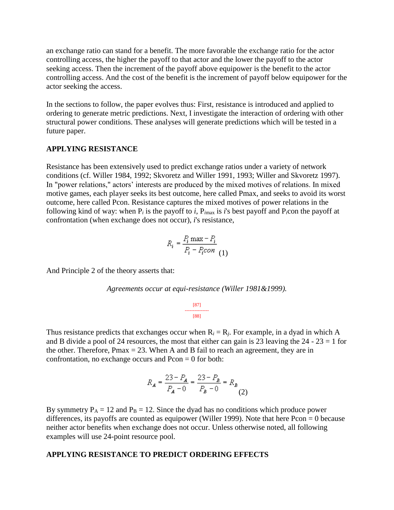an exchange ratio can stand for a benefit. The more favorable the exchange ratio for the actor controlling access, the higher the payoff to that actor and the lower the payoff to the actor seeking access. Then the increment of the payoff above equipower is the benefit to the actor controlling access. And the cost of the benefit is the increment of payoff below equipower for the actor seeking the access.

In the sections to follow, the paper evolves thus: First, resistance is introduced and applied to ordering to generate metric predictions. Next, I investigate the interaction of ordering with other structural power conditions. These analyses will generate predictions which will be tested in a future paper.

#### **APPLYING RESISTANCE**

Resistance has been extensively used to predict exchange ratios under a variety of network conditions (cf. Willer 1984, 1992; Skvoretz and Willer 1991, 1993; Willer and Skvoretz 1997). In "power relations," actors' interests are produced by the mixed motives of relations. In mixed motive games, each player seeks its best outcome, here called Pmax, and seeks to avoid its worst outcome, here called Pcon. Resistance captures the mixed motives of power relations in the following kind of way: when  $P_i$  is the payoff to *i*,  $P_{imax}$  is *i*'s best payoff and  $P_i$ con the payoff at confrontation (when exchange does not occur), *i*'s resistance,

$$
R_i = \frac{P_i \max - P_i}{P_i - P_i con}
$$
 (1)

And Principle 2 of the theory asserts that:

*Agreements occur at equi-resistance (Willer 1981&1999).* 

[87] --------------- [88]

Thus resistance predicts that exchanges occur when  $R_i = R_j$ . For example, in a dyad in which A and B divide a pool of 24 resources, the most that either can gain is 23 leaving the  $24 - 23 = 1$  for the other. Therefore,  $Pmax = 23$ . When A and B fail to reach an agreement, they are in confrontation, no exchange occurs and  $Pcon = 0$  for both:

$$
R_A = \frac{23 - P_A}{P_A - 0} = \frac{23 - P_B}{P_B - 0} = R_B
$$
\n(2)

By symmetry  $P_A = 12$  and  $P_B = 12$ . Since the dyad has no conditions which produce power differences, its payoffs are counted as equipower (Willer 1999). Note that here Pcon = 0 because neither actor benefits when exchange does not occur. Unless otherwise noted, all following examples will use 24-point resource pool.

#### **APPLYING RESISTANCE TO PREDICT ORDERING EFFECTS**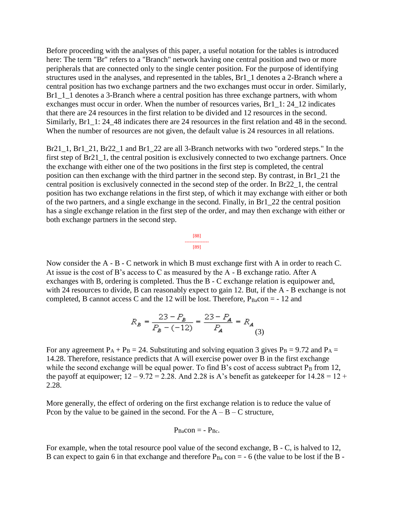Before proceeding with the analyses of this paper, a useful notation for the tables is introduced here: The term "Br" refers to a "Branch" network having one central position and two or more peripherals that are connected only to the single center position. For the purpose of identifying structures used in the analyses, and represented in the tables, Br1\_1 denotes a 2-Branch where a central position has two exchange partners and the two exchanges must occur in order. Similarly, Br1\_1\_1 denotes a 3-Branch where a central position has three exchange partners, with whom exchanges must occur in order. When the number of resources varies, Br1 1: 24, 12 indicates that there are 24 resources in the first relation to be divided and 12 resources in the second. Similarly, Br1 1: 24 48 indicates there are 24 resources in the first relation and 48 in the second. When the number of resources are not given, the default value is 24 resources in all relations.

Br21\_1, Br1\_21, Br22\_1 and Br1\_22 are all 3-Branch networks with two "ordered steps." In the first step of Br21\_1, the central position is exclusively connected to two exchange partners. Once the exchange with either one of the two positions in the first step is completed, the central position can then exchange with the third partner in the second step. By contrast, in Br1\_21 the central position is exclusively connected in the second step of the order. In Br22\_1, the central position has two exchange relations in the first step, of which it may exchange with either or both of the two partners, and a single exchange in the second. Finally, in Br1\_22 the central position has a single exchange relation in the first step of the order, and may then exchange with either or both exchange partners in the second step.

> [88] --------------- [89]

Now consider the A - B - C network in which B must exchange first with A in order to reach C. At issue is the cost of B's access to C as measured by the A - B exchange ratio. After A exchanges with B, ordering is completed. Thus the B - C exchange relation is equipower and, with 24 resources to divide, B can reasonably expect to gain 12. But, if the A - B exchange is not completed, B cannot access C and the 12 will be lost. Therefore,  $P_{Ba}$ con = -12 and

$$
R_B = \frac{23 - P_B}{P_B - (-12)} = \frac{23 - P_A}{P_A} = R_A \tag{3}
$$

For any agreement  $P_A + P_B = 24$ . Substituting and solving equation 3 gives  $P_B = 9.72$  and  $P_A =$ 14.28. Therefore, resistance predicts that A will exercise power over B in the first exchange while the second exchange will be equal power. To find B's cost of access subtract  $P_B$  from 12, the payoff at equipower;  $12 - 9.72 = 2.28$ . And 2.28 is A's benefit as gatekeeper for  $14.28 = 12 +$ 2.28.

More generally, the effect of ordering on the first exchange relation is to reduce the value of Pcon by the value to be gained in the second. For the  $A - B - C$  structure,

$$
P_{Ba}con = - P_{Bc}.
$$

For example, when the total resource pool value of the second exchange, B - C, is halved to 12, B can expect to gain 6 in that exchange and therefore  $P_{Ba}$  con = - 6 (the value to be lost if the B -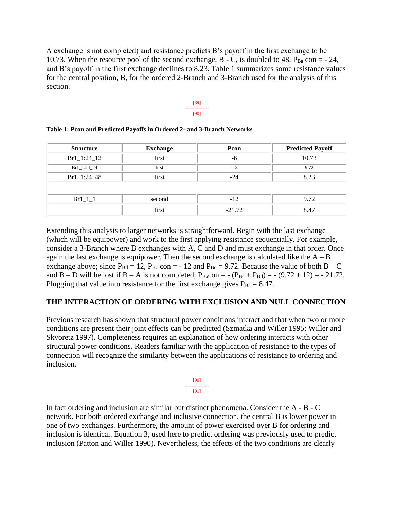A exchange is not completed) and resistance predicts B's payoff in the first exchange to be 10.73. When the resource pool of the second exchange,  $B - C$ , is doubled to 48,  $P_{Ba}$  con = - 24, and B's payoff in the first exchange declines to 8.23. Table 1 summarizes some resistance values for the central position, B, for the ordered 2-Branch and 3-Branch used for the analysis of this section.



| <b>Structure</b> | <b>Exchange</b> | Pcon     | <b>Predicted Payoff</b> |
|------------------|-----------------|----------|-------------------------|
| $Br1_1:24_12$    | first           | -6       | 10.73                   |
| Br1_1:24_24      | first           | $-12$    | 9.72                    |
| Br1_1:24_48      | first           | $-24$    | 8.23                    |
|                  |                 |          |                         |
| $Br1_1_1$        | second          | $-12$    | 9.72                    |
|                  | first           | $-21.72$ | 8.47                    |

|  |  |  |  |  | Table 1: Pcon and Predicted Payoffs in Ordered 2- and 3-Branch Networks |
|--|--|--|--|--|-------------------------------------------------------------------------|
|--|--|--|--|--|-------------------------------------------------------------------------|

Extending this analysis to larger networks is straightforward. Begin with the last exchange (which will be equipower) and work to the first applying resistance sequentially. For example, consider a 3-Branch where B exchanges with A, C and D and must exchange in that order. Once again the last exchange is equipower. Then the second exchange is calculated like the  $A - B$ exchange above; since  $P_{Bd} = 12$ ,  $P_{Bc}$  con = -12 and  $P_{Bc} = 9.72$ . Because the value of both B – C and B – D will be lost if B – A is not completed,  $P_{Ba}$ con = -  $(P_{Bc} + P_{Bd})$  = -  $(9.72 + 12)$  = - 21.72. Plugging that value into resistance for the first exchange gives  $P_{Ba} = 8.47$ .

#### **THE INTERACTION OF ORDERING WITH EXCLUSION AND NULL CONNECTION**

Previous research has shown that structural power conditions interact and that when two or more conditions are present their joint effects can be predicted (Szmatka and Willer 1995; Willer and Skvoretz 1997). Completeness requires an explanation of how ordering interacts with other structural power conditions. Readers familiar with the application of resistance to the types of connection will recognize the similarity between the applications of resistance to ordering and inclusion.

| ----- | ------ |
|-------|--------|

In fact ordering and inclusion are similar but distinct phenomena. Consider the A - B - C network. For both ordered exchange and inclusive connection, the central B is lower power in one of two exchanges. Furthermore, the amount of power exercised over B for ordering and inclusion is identical. Equation 3, used here to predict ordering was previously used to predict inclusion (Patton and Willer 1990). Nevertheless, the effects of the two conditions are clearly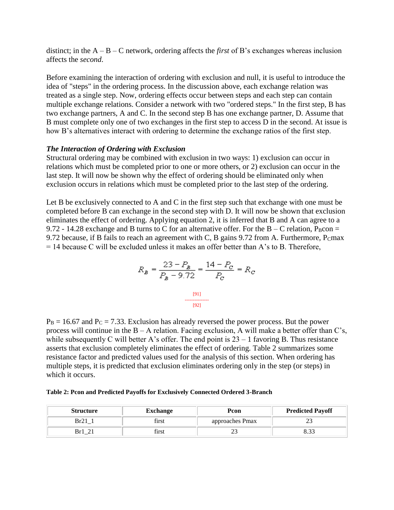distinct; in the A – B – C network, ordering affects the *first* of B's exchanges whereas inclusion affects the *second*.

Before examining the interaction of ordering with exclusion and null, it is useful to introduce the idea of "steps" in the ordering process. In the discussion above, each exchange relation was treated as a single step. Now, ordering effects occur between steps and each step can contain multiple exchange relations. Consider a network with two "ordered steps." In the first step, B has two exchange partners, A and C. In the second step B has one exchange partner, D. Assume that B must complete only one of two exchanges in the first step to access D in the second. At issue is how B's alternatives interact with ordering to determine the exchange ratios of the first step.

#### *The Interaction of Ordering with Exclusion*

Structural ordering may be combined with exclusion in two ways: 1) exclusion can occur in relations which must be completed prior to one or more others, or 2) exclusion can occur in the last step. It will now be shown why the effect of ordering should be eliminated only when exclusion occurs in relations which must be completed prior to the last step of the ordering.

Let B be exclusively connected to A and C in the first step such that exchange with one must be completed before B can exchange in the second step with D. It will now be shown that exclusion eliminates the effect of ordering. Applying equation 2, it is inferred that B and A can agree to a 9.72 - 14.28 exchange and B turns to C for an alternative offer. For the  $B - C$  relation, P<sub>B</sub>con = 9.72 because, if B fails to reach an agreement with C, B gains 9.72 from A. Furthermore,  $P<sub>C</sub>$ max = 14 because C will be excluded unless it makes an offer better than A's to B. Therefore,

$$
R_B = \frac{23 - P_B}{P_B - 9.72} = \frac{14 - P_C}{P_C} = R_C
$$

$$
\xrightarrow{\qquad [91]}
$$

$$
\xrightarrow{\qquad [92]}
$$

 $P_B = 16.67$  and  $P_C = 7.33$ . Exclusion has already reversed the power process. But the power process will continue in the  $B - A$  relation. Facing exclusion, A will make a better offer than C's, while subsequently C will better A's offer. The end point is  $23 - 1$  favoring B. Thus resistance asserts that exclusion completely eliminates the effect of ordering. Table 2 summarizes some resistance factor and predicted values used for the analysis of this section. When ordering has multiple steps, it is predicted that exclusion eliminates ordering only in the step (or steps) in which it occurs.

|  |  | Table 2: Pcon and Predicted Payoffs for Exclusively Connected Ordered 3-Branch |
|--|--|--------------------------------------------------------------------------------|
|  |  |                                                                                |

| <b>Structure</b> | <b>Exchange</b> | Pcon            | <b>Predicted Payoff</b> |
|------------------|-----------------|-----------------|-------------------------|
|                  | tırst           | approaches Pmax | ل ک                     |
| R٣               | nrst:           | <u>_</u>        |                         |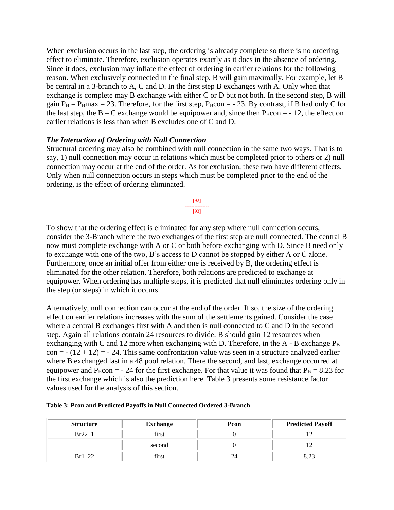When exclusion occurs in the last step, the ordering is already complete so there is no ordering effect to eliminate. Therefore, exclusion operates exactly as it does in the absence of ordering. Since it does, exclusion may inflate the effect of ordering in earlier relations for the following reason. When exclusively connected in the final step, B will gain maximally. For example, let B be central in a 3-branch to A, C and D. In the first step B exchanges with A. Only when that exchange is complete may B exchange with either C or D but not both. In the second step, B will gain  $P_B = P_B$ max = 23. Therefore, for the first step,  $P_B$ con = - 23. By contrast, if B had only C for the last step, the  $B - C$  exchange would be equipower and, since then  $P_B$ con = -12, the effect on earlier relations is less than when B excludes one of C and D.

## *The Interaction of Ordering with Null Connection*

Structural ordering may also be combined with null connection in the same two ways. That is to say, 1) null connection may occur in relations which must be completed prior to others or 2) null connection may occur at the end of the order. As for exclusion, these two have different effects. Only when null connection occurs in steps which must be completed prior to the end of the ordering, is the effect of ordering eliminated.

> [92] --------------- [93]

To show that the ordering effect is eliminated for any step where null connection occurs, consider the 3-Branch where the two exchanges of the first step are null connected. The central B now must complete exchange with A or C or both before exchanging with D. Since B need only to exchange with one of the two, B's access to D cannot be stopped by either A or C alone. Furthermore, once an initial offer from either one is received by B, the ordering effect is eliminated for the other relation. Therefore, both relations are predicted to exchange at equipower. When ordering has multiple steps, it is predicted that null eliminates ordering only in the step (or steps) in which it occurs.

Alternatively, null connection can occur at the end of the order. If so, the size of the ordering effect on earlier relations increases with the sum of the settlements gained. Consider the case where a central B exchanges first with A and then is null connected to C and D in the second step. Again all relations contain 24 resources to divide. B should gain 12 resources when exchanging with C and 12 more when exchanging with D. Therefore, in the  $A - B$  exchange  $P_B$  $con = -(12 + 12) = -24$ . This same confrontation value was seen in a structure analyzed earlier where B exchanged last in a 48 pool relation. There the second, and last, exchange occurred at equipower and P<sub>B</sub>con = - 24 for the first exchange. For that value it was found that  $P_B = 8.23$  for the first exchange which is also the prediction here. Table 3 presents some resistance factor values used for the analysis of this section.

| <b>Structure</b>     | <b>Exchange</b> | Pcon | <b>Predicted Payoff</b> |
|----------------------|-----------------|------|-------------------------|
| Br22 1               | first           |      |                         |
|                      | second          |      |                         |
| $\gamma$<br>$Br1_22$ | first           |      |                         |

|  | Table 3: Pcon and Predicted Payoffs in Null Connected Ordered 3-Branch |  |
|--|------------------------------------------------------------------------|--|
|  |                                                                        |  |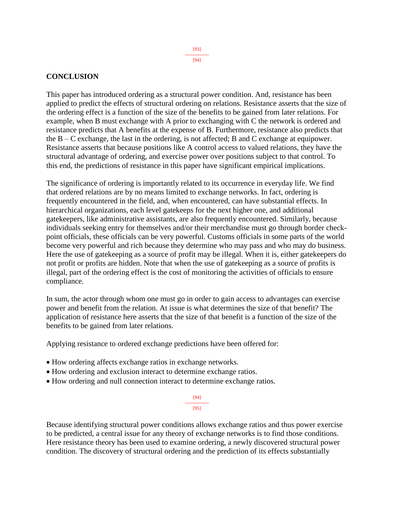#### **CONCLUSION**

This paper has introduced ordering as a structural power condition. And, resistance has been applied to predict the effects of structural ordering on relations. Resistance asserts that the size of the ordering effect is a function of the size of the benefits to be gained from later relations. For example, when B must exchange with A prior to exchanging with C the network is ordered and resistance predicts that A benefits at the expense of B. Furthermore, resistance also predicts that the B – C exchange, the last in the ordering, is not affected; B and C exchange at equipower. Resistance asserts that because positions like A control access to valued relations, they have the structural advantage of ordering, and exercise power over positions subject to that control. To this end, the predictions of resistance in this paper have significant empirical implications.

The significance of ordering is importantly related to its occurrence in everyday life. We find that ordered relations are by no means limited to exchange networks. In fact, ordering is frequently encountered in the field, and, when encountered, can have substantial effects. In hierarchical organizations, each level gatekeeps for the next higher one, and additional gatekeepers, like administrative assistants, are also frequently encountered. Similarly, because individuals seeking entry for themselves and/or their merchandise must go through border checkpoint officials, these officials can be very powerful. Customs officials in some parts of the world become very powerful and rich because they determine who may pass and who may do business. Here the use of gatekeeping as a source of profit may be illegal. When it is, either gatekeepers do not profit or profits are hidden. Note that when the use of gatekeeping as a source of profits is illegal, part of the ordering effect is the cost of monitoring the activities of officials to ensure compliance.

In sum, the actor through whom one must go in order to gain access to advantages can exercise power and benefit from the relation. At issue is what determines the size of that benefit? The application of resistance here asserts that the size of that benefit is a function of the size of the benefits to be gained from later relations.

Applying resistance to ordered exchange predictions have been offered for:

- How ordering affects exchange ratios in exchange networks.
- How ordering and exclusion interact to determine exchange ratios.
- How ordering and null connection interact to determine exchange ratios.

[94] --------------- [95]

Because identifying structural power conditions allows exchange ratios and thus power exercise to be predicted, a central issue for any theory of exchange networks is to find those conditions. Here resistance theory has been used to examine ordering, a newly discovered structural power condition. The discovery of structural ordering and the prediction of its effects substantially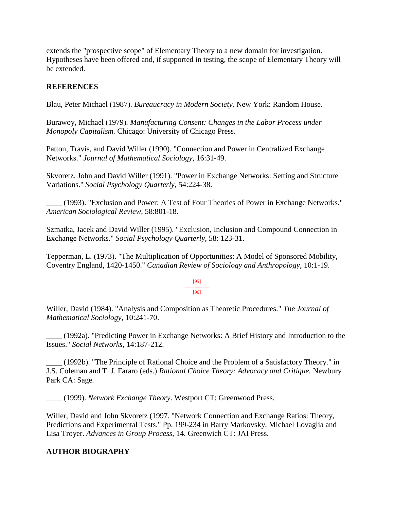extends the "prospective scope" of Elementary Theory to a new domain for investigation. Hypotheses have been offered and, if supported in testing, the scope of Elementary Theory will be extended.

# **REFERENCES**

Blau, Peter Michael (1987). *Bureaucracy in Modern Society.* New York: Random House.

Burawoy, Michael (1979)*. Manufacturing Consent: Changes in the Labor Process under Monopoly Capitalism.* Chicago: University of Chicago Press.

Patton, Travis, and David Willer (1990). "Connection and Power in Centralized Exchange Networks." *Journal of Mathematical Sociology*, 16:31-49.

Skvoretz, John and David Willer (1991). "Power in Exchange Networks: Setting and Structure Variations." *Social Psychology Quarterly*, 54:224-38.

\_\_\_\_ (1993). "Exclusion and Power: A Test of Four Theories of Power in Exchange Networks." *American Sociological Review*, 58:801-18.

Szmatka, Jacek and David Willer (1995). "Exclusion, Inclusion and Compound Connection in Exchange Networks." *Social Psychology Quarterly*, 58: 123-31.

Tepperman, L. (1973). "The Multiplication of Opportunities: A Model of Sponsored Mobility, Coventry England, 1420-1450." *Canadian Review of Sociology and Anthropology*, 10:1-19.

> [95] --------------- [96]

Willer, David (1984). "Analysis and Composition as Theoretic Procedures." *The Journal of Mathematical Sociology*, 10:241-70.

\_\_\_\_ (1992a). "Predicting Power in Exchange Networks: A Brief History and Introduction to the Issues." *Social Networks*, 14:187-212.

\_\_\_\_ (1992b). "The Principle of Rational Choice and the Problem of a Satisfactory Theory." in J.S. Coleman and T. J. Fararo (eds.) *Rational Choice Theory: Advocacy and Critique.* Newbury Park CA: Sage.

\_\_\_\_ (1999). *Network Exchange Theory*. Westport CT: Greenwood Press.

Willer, David and John Skvoretz (1997. "Network Connection and Exchange Ratios: Theory, Predictions and Experimental Tests." Pp. 199-234 in Barry Markovsky, Michael Lovaglia and Lisa Troyer. *Advances in Group Process,* 14. Greenwich CT: JAI Press.

# **AUTHOR BIOGRAPHY**